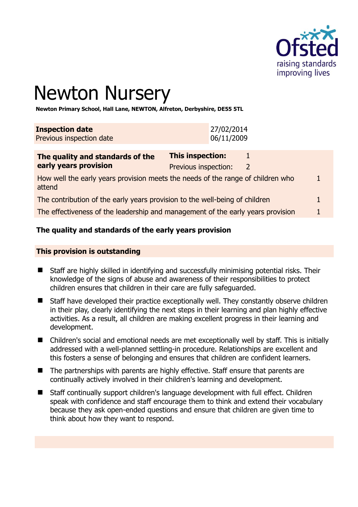

# Newton Nursery

**Newton Primary School, Hall Lane, NEWTON, Alfreton, Derbyshire, DE55 5TL** 

| <b>Inspection date</b>          | 27/02/2014 |
|---------------------------------|------------|
| <b>Previous inspection date</b> | 06/11/2009 |
|                                 |            |

| The quality and standards of the                                                          | <b>This inspection:</b> |   |  |
|-------------------------------------------------------------------------------------------|-------------------------|---|--|
| early years provision                                                                     | Previous inspection:    | 2 |  |
| How well the early years provision meets the needs of the range of children who<br>attend |                         |   |  |
| The contribution of the early years provision to the well-being of children               |                         |   |  |
| The effectiveness of the leadership and management of the early years provision           |                         |   |  |

# **The quality and standards of the early years provision**

#### **This provision is outstanding**

- Staff are highly skilled in identifying and successfully minimising potential risks. Their knowledge of the signs of abuse and awareness of their responsibilities to protect children ensures that children in their care are fully safeguarded.
- Staff have developed their practice exceptionally well. They constantly observe children in their play, clearly identifying the next steps in their learning and plan highly effective activities. As a result, all children are making excellent progress in their learning and development.
- Children's social and emotional needs are met exceptionally well by staff. This is initially addressed with a well-planned settling-in procedure. Relationships are excellent and this fosters a sense of belonging and ensures that children are confident learners.
- The partnerships with parents are highly effective. Staff ensure that parents are continually actively involved in their children's learning and development.
- Staff continually support children's language development with full effect. Children speak with confidence and staff encourage them to think and extend their vocabulary because they ask open-ended questions and ensure that children are given time to think about how they want to respond.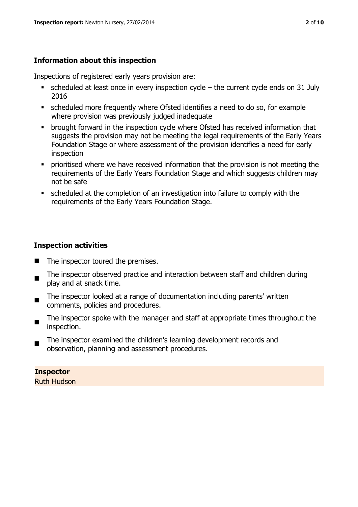# **Information about this inspection**

Inspections of registered early years provision are:

- $\bullet$  scheduled at least once in every inspection cycle the current cycle ends on 31 July 2016
- scheduled more frequently where Ofsted identifies a need to do so, for example where provision was previously judged inadequate
- **•** brought forward in the inspection cycle where Ofsted has received information that suggests the provision may not be meeting the legal requirements of the Early Years Foundation Stage or where assessment of the provision identifies a need for early inspection
- **•** prioritised where we have received information that the provision is not meeting the requirements of the Early Years Foundation Stage and which suggests children may not be safe
- scheduled at the completion of an investigation into failure to comply with the requirements of the Early Years Foundation Stage.

# **Inspection activities**

- The inspector toured the premises.
- $\blacksquare$ The inspector observed practice and interaction between staff and children during play and at snack time.
- The inspector looked at a range of documentation including parents' written comments, policies and procedures.
- $\blacksquare$ The inspector spoke with the manager and staff at appropriate times throughout the inspection.
- The inspector examined the children's learning development records and observation, planning and assessment procedures.

# **Inspector**

Ruth Hudson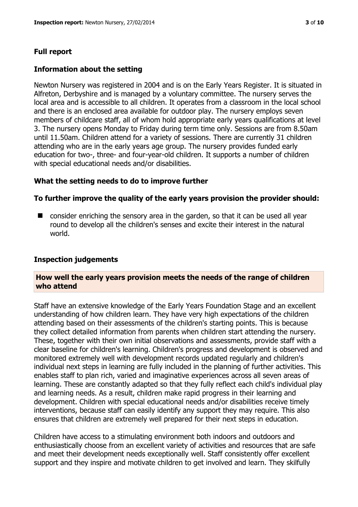# **Full report**

### **Information about the setting**

Newton Nursery was registered in 2004 and is on the Early Years Register. It is situated in Alfreton, Derbyshire and is managed by a voluntary committee. The nursery serves the local area and is accessible to all children. It operates from a classroom in the local school and there is an enclosed area available for outdoor play. The nursery employs seven members of childcare staff, all of whom hold appropriate early years qualifications at level 3. The nursery opens Monday to Friday during term time only. Sessions are from 8.50am until 11.50am. Children attend for a variety of sessions. There are currently 31 children attending who are in the early years age group. The nursery provides funded early education for two-, three- and four-year-old children. It supports a number of children with special educational needs and/or disabilities.

# **What the setting needs to do to improve further**

#### **To further improve the quality of the early years provision the provider should:**

■ consider enriching the sensory area in the garden, so that it can be used all vear round to develop all the children's senses and excite their interest in the natural world.

#### **Inspection judgements**

#### **How well the early years provision meets the needs of the range of children who attend**

Staff have an extensive knowledge of the Early Years Foundation Stage and an excellent understanding of how children learn. They have very high expectations of the children attending based on their assessments of the children's starting points. This is because they collect detailed information from parents when children start attending the nursery. These, together with their own initial observations and assessments, provide staff with a clear baseline for children's learning. Children's progress and development is observed and monitored extremely well with development records updated regularly and children's individual next steps in learning are fully included in the planning of further activities. This enables staff to plan rich, varied and imaginative experiences across all seven areas of learning. These are constantly adapted so that they fully reflect each child's individual play and learning needs. As a result, children make rapid progress in their learning and development. Children with special educational needs and/or disabilities receive timely interventions, because staff can easily identify any support they may require. This also ensures that children are extremely well prepared for their next steps in education.

Children have access to a stimulating environment both indoors and outdoors and enthusiastically choose from an excellent variety of activities and resources that are safe and meet their development needs exceptionally well. Staff consistently offer excellent support and they inspire and motivate children to get involved and learn. They skilfully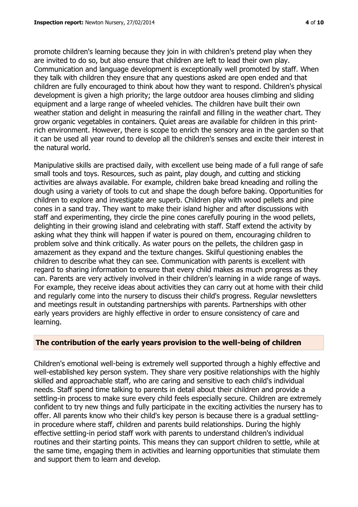promote children's learning because they join in with children's pretend play when they are invited to do so, but also ensure that children are left to lead their own play. Communication and language development is exceptionally well promoted by staff. When they talk with children they ensure that any questions asked are open ended and that children are fully encouraged to think about how they want to respond. Children's physical development is given a high priority; the large outdoor area houses climbing and sliding equipment and a large range of wheeled vehicles. The children have built their own weather station and delight in measuring the rainfall and filling in the weather chart. They grow organic vegetables in containers. Quiet areas are available for children in this printrich environment. However, there is scope to enrich the sensory area in the garden so that it can be used all year round to develop all the children's senses and excite their interest in the natural world.

Manipulative skills are practised daily, with excellent use being made of a full range of safe small tools and toys. Resources, such as paint, play dough, and cutting and sticking activities are always available. For example, children bake bread kneading and rolling the dough using a variety of tools to cut and shape the dough before baking. Opportunities for children to explore and investigate are superb. Children play with wood pellets and pine cones in a sand tray. They want to make their island higher and after discussions with staff and experimenting, they circle the pine cones carefully pouring in the wood pellets, delighting in their growing island and celebrating with staff. Staff extend the activity by asking what they think will happen if water is poured on them, encouraging children to problem solve and think critically. As water pours on the pellets, the children gasp in amazement as they expand and the texture changes. Skilful questioning enables the children to describe what they can see. Communication with parents is excellent with regard to sharing information to ensure that every child makes as much progress as they can. Parents are very actively involved in their children's learning in a wide range of ways. For example, they receive ideas about activities they can carry out at home with their child and regularly come into the nursery to discuss their child's progress. Regular newsletters and meetings result in outstanding partnerships with parents. Partnerships with other early years providers are highly effective in order to ensure consistency of care and learning.

#### **The contribution of the early years provision to the well-being of children**

Children's emotional well-being is extremely well supported through a highly effective and well-established key person system. They share very positive relationships with the highly skilled and approachable staff, who are caring and sensitive to each child's individual needs. Staff spend time talking to parents in detail about their children and provide a settling-in process to make sure every child feels especially secure. Children are extremely confident to try new things and fully participate in the exciting activities the nursery has to offer. All parents know who their child's key person is because there is a gradual settlingin procedure where staff, children and parents build relationships. During the highly effective settling-in period staff work with parents to understand children's individual routines and their starting points. This means they can support children to settle, while at the same time, engaging them in activities and learning opportunities that stimulate them and support them to learn and develop.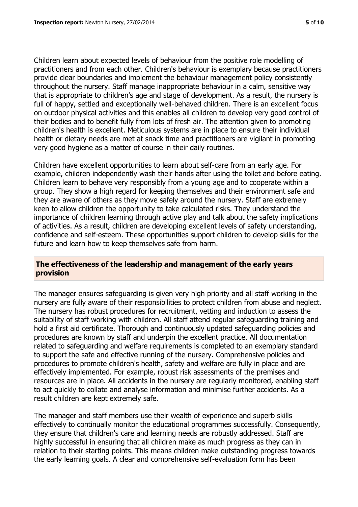Children learn about expected levels of behaviour from the positive role modelling of practitioners and from each other. Children's behaviour is exemplary because practitioners provide clear boundaries and implement the behaviour management policy consistently throughout the nursery. Staff manage inappropriate behaviour in a calm, sensitive way that is appropriate to children's age and stage of development. As a result, the nursery is full of happy, settled and exceptionally well-behaved children. There is an excellent focus on outdoor physical activities and this enables all children to develop very good control of their bodies and to benefit fully from lots of fresh air. The attention given to promoting children's health is excellent. Meticulous systems are in place to ensure their individual health or dietary needs are met at snack time and practitioners are vigilant in promoting very good hygiene as a matter of course in their daily routines.

Children have excellent opportunities to learn about self-care from an early age. For example, children independently wash their hands after using the toilet and before eating. Children learn to behave very responsibly from a young age and to cooperate within a group. They show a high regard for keeping themselves and their environment safe and they are aware of others as they move safely around the nursery. Staff are extremely keen to allow children the opportunity to take calculated risks. They understand the importance of children learning through active play and talk about the safety implications of activities. As a result, children are developing excellent levels of safety understanding, confidence and self-esteem. These opportunities support children to develop skills for the future and learn how to keep themselves safe from harm.

#### **The effectiveness of the leadership and management of the early years provision**

The manager ensures safeguarding is given very high priority and all staff working in the nursery are fully aware of their responsibilities to protect children from abuse and neglect. The nursery has robust procedures for recruitment, vetting and induction to assess the suitability of staff working with children. All staff attend regular safeguarding training and hold a first aid certificate. Thorough and continuously updated safeguarding policies and procedures are known by staff and underpin the excellent practice. All documentation related to safeguarding and welfare requirements is completed to an exemplary standard to support the safe and effective running of the nursery. Comprehensive policies and procedures to promote children's health, safety and welfare are fully in place and are effectively implemented. For example, robust risk assessments of the premises and resources are in place. All accidents in the nursery are regularly monitored, enabling staff to act quickly to collate and analyse information and minimise further accidents. As a result children are kept extremely safe.

The manager and staff members use their wealth of experience and superb skills effectively to continually monitor the educational programmes successfully. Consequently, they ensure that children's care and learning needs are robustly addressed. Staff are highly successful in ensuring that all children make as much progress as they can in relation to their starting points. This means children make outstanding progress towards the early learning goals. A clear and comprehensive self-evaluation form has been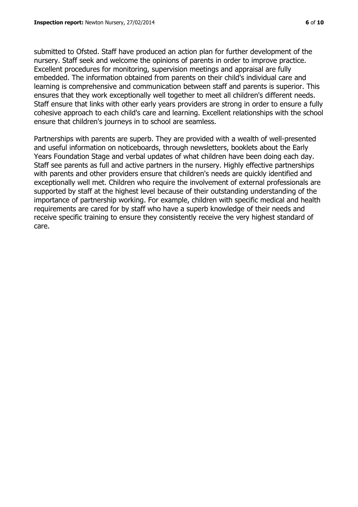submitted to Ofsted. Staff have produced an action plan for further development of the nursery. Staff seek and welcome the opinions of parents in order to improve practice. Excellent procedures for monitoring, supervision meetings and appraisal are fully embedded. The information obtained from parents on their child's individual care and learning is comprehensive and communication between staff and parents is superior. This ensures that they work exceptionally well together to meet all children's different needs. Staff ensure that links with other early years providers are strong in order to ensure a fully cohesive approach to each child's care and learning. Excellent relationships with the school ensure that children's journeys in to school are seamless.

Partnerships with parents are superb. They are provided with a wealth of well-presented and useful information on noticeboards, through newsletters, booklets about the Early Years Foundation Stage and verbal updates of what children have been doing each day. Staff see parents as full and active partners in the nursery. Highly effective partnerships with parents and other providers ensure that children's needs are quickly identified and exceptionally well met. Children who require the involvement of external professionals are supported by staff at the highest level because of their outstanding understanding of the importance of partnership working. For example, children with specific medical and health requirements are cared for by staff who have a superb knowledge of their needs and receive specific training to ensure they consistently receive the very highest standard of care.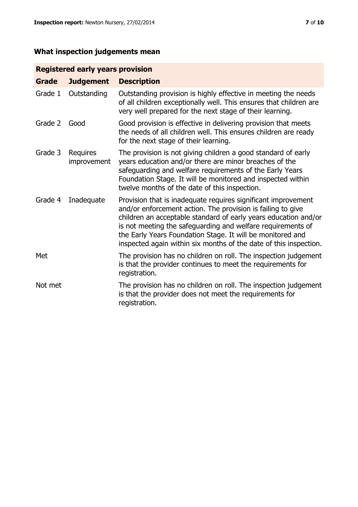# **What inspection judgements mean**

# **Registered early years provision**

| <b>Grade</b> | <b>Judgement</b>        | <b>Description</b>                                                                                                                                                                                                                                                                                                                                                                                |
|--------------|-------------------------|---------------------------------------------------------------------------------------------------------------------------------------------------------------------------------------------------------------------------------------------------------------------------------------------------------------------------------------------------------------------------------------------------|
| Grade 1      | Outstanding             | Outstanding provision is highly effective in meeting the needs<br>of all children exceptionally well. This ensures that children are<br>very well prepared for the next stage of their learning.                                                                                                                                                                                                  |
| Grade 2      | Good                    | Good provision is effective in delivering provision that meets<br>the needs of all children well. This ensures children are ready<br>for the next stage of their learning.                                                                                                                                                                                                                        |
| Grade 3      | Requires<br>improvement | The provision is not giving children a good standard of early<br>years education and/or there are minor breaches of the<br>safeguarding and welfare requirements of the Early Years<br>Foundation Stage. It will be monitored and inspected within<br>twelve months of the date of this inspection.                                                                                               |
| Grade 4      | Inadequate              | Provision that is inadequate requires significant improvement<br>and/or enforcement action. The provision is failing to give<br>children an acceptable standard of early years education and/or<br>is not meeting the safeguarding and welfare requirements of<br>the Early Years Foundation Stage. It will be monitored and<br>inspected again within six months of the date of this inspection. |
| Met          |                         | The provision has no children on roll. The inspection judgement<br>is that the provider continues to meet the requirements for<br>registration.                                                                                                                                                                                                                                                   |
| Not met      |                         | The provision has no children on roll. The inspection judgement<br>is that the provider does not meet the requirements for<br>registration.                                                                                                                                                                                                                                                       |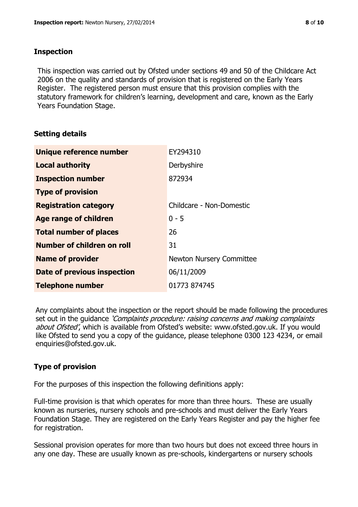### **Inspection**

This inspection was carried out by Ofsted under sections 49 and 50 of the Childcare Act 2006 on the quality and standards of provision that is registered on the Early Years Register. The registered person must ensure that this provision complies with the statutory framework for children's learning, development and care, known as the Early Years Foundation Stage.

# **Setting details**

| Unique reference number            | EY294310                        |
|------------------------------------|---------------------------------|
| <b>Local authority</b>             | Derbyshire                      |
| <b>Inspection number</b>           | 872934                          |
| <b>Type of provision</b>           |                                 |
| <b>Registration category</b>       | Childcare - Non-Domestic        |
| Age range of children              | $0 - 5$                         |
| <b>Total number of places</b>      | 26                              |
| Number of children on roll         | 31                              |
| <b>Name of provider</b>            | <b>Newton Nursery Committee</b> |
| <b>Date of previous inspection</b> | 06/11/2009                      |
| <b>Telephone number</b>            | 01773 874745                    |

Any complaints about the inspection or the report should be made following the procedures set out in the guidance *'Complaints procedure: raising concerns and making complaints* about Ofsted', which is available from Ofsted's website: www.ofsted.gov.uk. If you would like Ofsted to send you a copy of the guidance, please telephone 0300 123 4234, or email enquiries@ofsted.gov.uk.

# **Type of provision**

For the purposes of this inspection the following definitions apply:

Full-time provision is that which operates for more than three hours. These are usually known as nurseries, nursery schools and pre-schools and must deliver the Early Years Foundation Stage. They are registered on the Early Years Register and pay the higher fee for registration.

Sessional provision operates for more than two hours but does not exceed three hours in any one day. These are usually known as pre-schools, kindergartens or nursery schools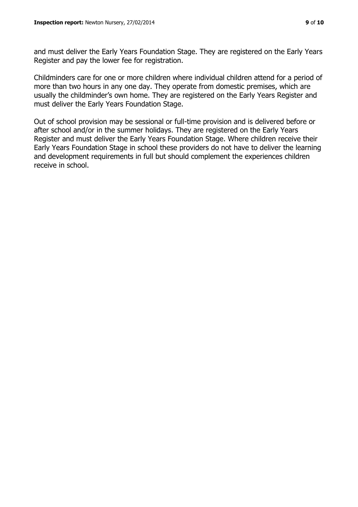and must deliver the Early Years Foundation Stage. They are registered on the Early Years Register and pay the lower fee for registration.

Childminders care for one or more children where individual children attend for a period of more than two hours in any one day. They operate from domestic premises, which are usually the childminder's own home. They are registered on the Early Years Register and must deliver the Early Years Foundation Stage.

Out of school provision may be sessional or full-time provision and is delivered before or after school and/or in the summer holidays. They are registered on the Early Years Register and must deliver the Early Years Foundation Stage. Where children receive their Early Years Foundation Stage in school these providers do not have to deliver the learning and development requirements in full but should complement the experiences children receive in school.